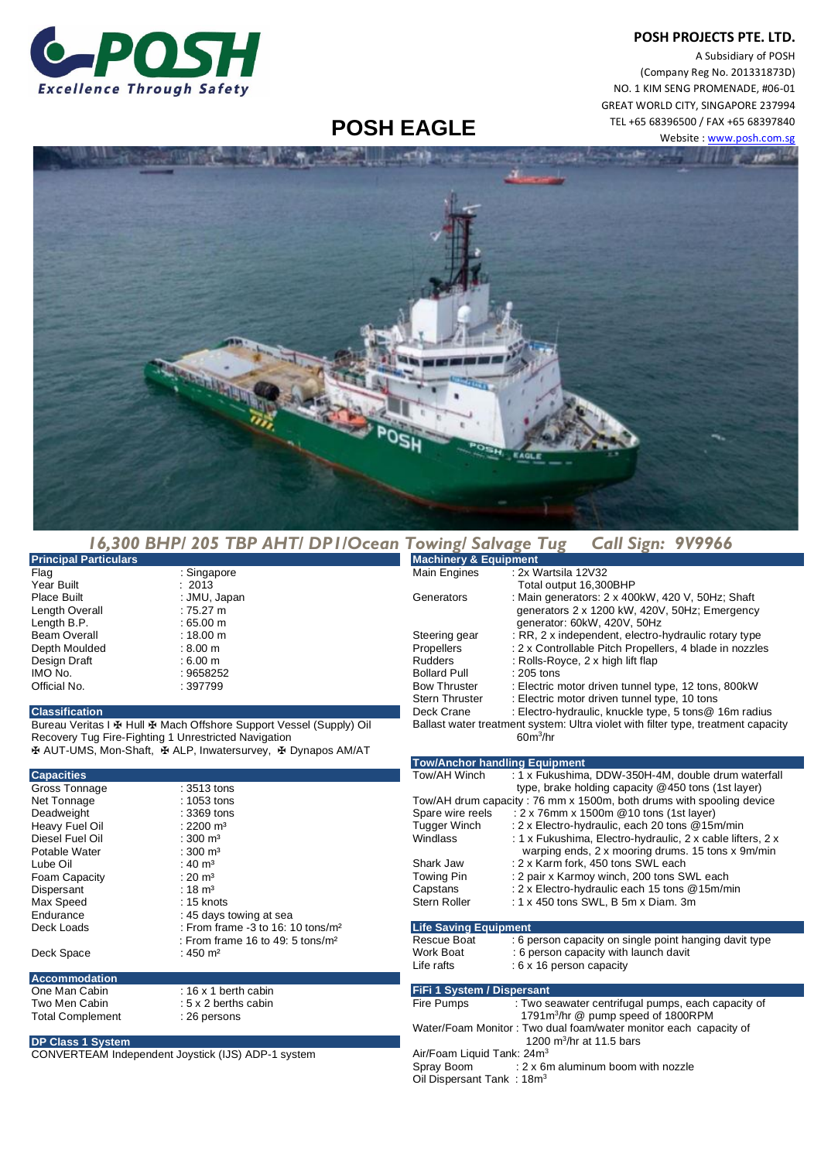## **Excellence Through Safety**

## **POSH PROJECTS PTE. LTD.**

A Subsidiary of POSH (Company Reg No. 201331873D) NO. 1 KIM SENG PROMENADE, #06-01 GREAT WORLD CITY, SINGAPORE 237994 TEL +65 68396500 / FAX +65 68397840 Website : www.posh.com.sg

## **POSH EAGLE**



| <b>Principal Particulars</b>                                        |                        | <b>Machinery &amp; Equipment</b>                                                 |  |
|---------------------------------------------------------------------|------------------------|----------------------------------------------------------------------------------|--|
| : Singapore                                                         | Main Engines           | : 2x Wartsila 12V32                                                              |  |
|                                                                     |                        | Total output 16,300BHP                                                           |  |
|                                                                     |                        | : Main generators: 2 x 400kW, 420 V, 50Hz; Shaft                                 |  |
| $:75.27 \text{ m}$                                                  |                        | generators 2 x 1200 kW, 420V, 50Hz; Emergency                                    |  |
| $:65.00 \; \text{m}$                                                |                        | generator: 60kW, 420V, 50Hz                                                      |  |
| $:18.00 \text{ m}$                                                  | Steering gear          | : RR, 2 x independent, electro-hydraulic rotary type                             |  |
| $: 8.00 \; \text{m}$                                                | <b>Propellers</b>      | : 2 x Controllable Pitch Propellers, 4 blade in nozzles                          |  |
| $:6.00 \; \mathrm{m}$                                               | <b>Rudders</b>         | : Rolls-Royce, 2 x high lift flap                                                |  |
| : 9658252                                                           | <b>Bollard Pull</b>    | $: 205$ tons                                                                     |  |
| :397799                                                             | <b>Bow Thruster</b>    | : Electric motor driven tunnel type, 12 tons, 800kW                              |  |
|                                                                     | <b>Stern Thruster</b>  | : Electric motor driven tunnel type, 10 tons                                     |  |
|                                                                     | Deck Crane             | : Electro-hydraulic, knuckle type, 5 tons@ 16m radius                            |  |
| Bureau Veritas I & Hull & Mach Offshore Support Vessel (Supply) Oil |                        | Ballast water treatment system: Ultra violet with filter type, treatment capacit |  |
|                                                                     | : 2013<br>: JMU, Japan | Generators                                                                       |  |

Recovery Tug Fire-Fighting 1 Unrestricted Navigation ✠ AUT-UMS, Mon-Shaft, ✠ ALP, Inwatersurvey, ✠ Dynapos AM/AT

| <b>Capacities</b>       |                                                 |
|-------------------------|-------------------------------------------------|
| Gross Tonnage           | $:3513$ tons                                    |
| Net Tonnage             | : 1053 tons                                     |
| Deadweight              | $: 3369$ tons                                   |
| Heavy Fuel Oil          | $: 2200 \; \text{m}^3$                          |
| Diesel Fuel Oil         | : 300 $m3$                                      |
| Potable Water           | : 300 $m3$                                      |
| Lube Oil                | : 40 $m3$                                       |
| Foam Capacity           | : 20 $\, \text{m}^3$                            |
| Dispersant              | $: 18 \text{ m}^3$                              |
| Max Speed               | $: 15$ knots                                    |
| Endurance               | : 45 days towing at sea                         |
| Deck Loads              | : From frame $-3$ to 16: 10 tons/m <sup>2</sup> |
|                         | : From frame 16 to 49: 5 tons/m <sup>2</sup>    |
| Deck Space              | : 450 $m2$                                      |
|                         |                                                 |
| <b>Accommodation</b>    |                                                 |
| One Man Cabin           | $: 16 \times 1$ berth cabin                     |
| Two Men Cabin           | $: 5 \times 2$ berths cabin                     |
| <b>Total Complement</b> | : 26 persons                                    |
|                         |                                                 |

**DP Class 1 System**

CONVERTEAM Independent Joystick (IJS) ADP-1 system

Ballast water treatment system: Ultra violet with filter type, treatment capacity 60m<sup>3</sup> /hr **Tow/Anchor handling Equipment**  : 1 x Fukushima, DDW-350H-4M, double drum waterfall type, brake holding capacity @450 tons (1st layer) Tow/AH drum capacity : 76 mm x 1500m, both drums with spooling device Spare wire reels : 2 x 76mm x 1500m @ 10 tons (1st layer)<br>Tugger Winch : 2 x Electro-hydraulic, each 20 tons @ 15r Tugger Winch : 2 x Electro-hydraulic, each 20 tons @15m/min<br>Windlass : 1 x Fukushima, Electro-hydraulic, 2 x cable lift : 1 x Fukushima, Electro-hydraulic, 2 x cable lifters, 2 x warping ends, 2 x mooring drums. 15 tons x 9m/min<br>
Shark Jaw : 2 x Karm fork, 450 tons SWL each : 2 x Karm fork, 450 tons SWL each Towing Pin : 2 pair x Karmoy winch, 200 tons SWL each<br>Capstans : 2 x Electro-hydraulic each 15 tons @15m/m Capstans : 2 x Electro-hydraulic each 15 tons @15m/min<br>Stern Roller : 1 x 450 tons SWL, B 5m x Diam, 3m :  $1 \times 450$  tons SWL, B  $5m \times$  Diam. 3m **Life Saving Equipment**<br> **Rescue Boat** : 6 p Rescue Boat : 6 person capacity on single point hanging davit type<br>Work Boat : 6 person capacity with launch davit Work Boat : 6 person capacity with launch davit<br> $\frac{1}{1}$  if e rafts : 6 x 16 person capacity : 6 x 16 person capacity **FiFi 1 System / Dispersant**  : Two seawater centrifugal pumps, each capacity of  $1791$ m $^3$ /hr @ pump speed of 1800RPM

|                                        | T/91m%nr @ pump speed of T800RPM                                 |
|----------------------------------------|------------------------------------------------------------------|
|                                        | Water/Foam Monitor: Two dual foam/water monitor each capacity of |
|                                        | 1200 $\text{m}^3/\text{hr}$ at 11.5 bars                         |
| Air/Foam Liquid Tank: 24m <sup>3</sup> |                                                                  |
| Sprav Boom                             | : 2 x 6m aluminum boom with nozzle                               |
| Oil Dispersant Tank: 18m <sup>3</sup>  |                                                                  |